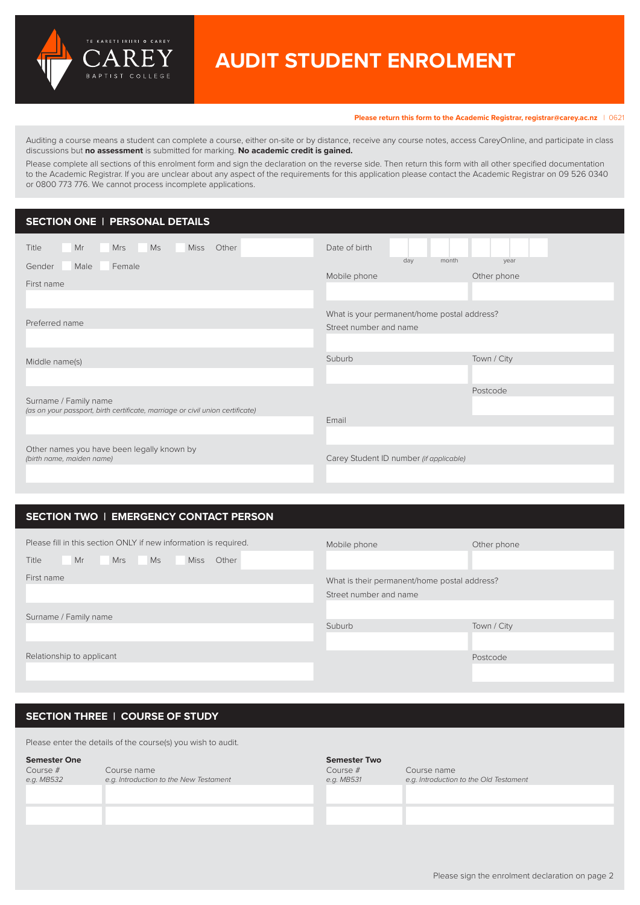

# **AUDIT STUDENT ENROLMENT**

**Please return this form to the Academic Registrar, [registrar@carey.ac.nz](mailto:registrar%40carey.ac.nz%20?subject=)** | 0621

Auditing a course means a student can complete a course, either on-site or by distance, receive any course notes, access CareyOnline, and participate in class discussions but **no assessment** is submitted for marking. **No academic credit is gained.**

Please complete all sections of this enrolment form and sign the declaration on the reverse side. Then return this form with all other specified documentation to the Academic Registrar. If you are unclear about any aspect of the requirements for this application please contact the Academic Registrar on 09 526 0340 or 0800 773 776. We cannot process incomplete applications.

# **SECTION ONE | PERSONAL DETAILS**

| Mr<br><b>Mrs</b><br>Ms<br>Other<br><b>Miss</b><br>Title                                                | Date of birth                                                         |  |  |
|--------------------------------------------------------------------------------------------------------|-----------------------------------------------------------------------|--|--|
| Male<br>Female<br>Gender                                                                               | day<br>month<br>year<br>Other phone<br>Mobile phone                   |  |  |
| First name                                                                                             |                                                                       |  |  |
| Preferred name                                                                                         | What is your permanent/home postal address?<br>Street number and name |  |  |
|                                                                                                        |                                                                       |  |  |
| Middle name(s)                                                                                         | Town / City<br>Suburb                                                 |  |  |
|                                                                                                        | Postcode                                                              |  |  |
| Surname / Family name<br>(as on your passport, birth certificate, marriage or civil union certificate) | Email                                                                 |  |  |
|                                                                                                        |                                                                       |  |  |
| Other names you have been legally known by<br>(birth name, maiden name)                                | Carey Student ID number (if applicable)                               |  |  |

## **SECTION TWO | EMERGENCY CONTACT PERSON**

| Please fill in this section ONLY if new information is required. | Mobile phone                                 | Other phone |  |
|------------------------------------------------------------------|----------------------------------------------|-------------|--|
| Title<br>Mr<br>Ms<br>Other<br><b>Mrs</b><br><b>Miss</b>          |                                              |             |  |
| First name                                                       | What is their permanent/home postal address? |             |  |
|                                                                  | Street number and name                       |             |  |
| Surname / Family name                                            |                                              |             |  |
|                                                                  | Suburb                                       | Town / City |  |
|                                                                  |                                              |             |  |
| Relationship to applicant                                        |                                              | Postcode    |  |
|                                                                  |                                              |             |  |

## **SECTION THREE | COURSE OF STUDY**

Please enter the details of the course(s) you wish to audit.

| <b>Semester One</b><br>Course #<br>e.g. MB532 | Course name<br>e.g. Introduction to the New Testament | <b>Semester Two</b><br>Course #<br>e.g. MB531 | Course name<br>e.g. Introduction to the Old Testament |
|-----------------------------------------------|-------------------------------------------------------|-----------------------------------------------|-------------------------------------------------------|
|                                               |                                                       |                                               |                                                       |
|                                               |                                                       |                                               |                                                       |